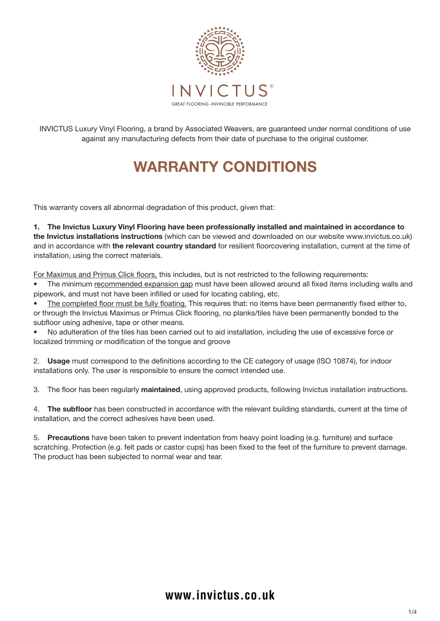

INVICTUS Luxury Vinyl Flooring, a brand by Associated Weavers, are guaranteed under normal conditions of use against any manufacturing defects from their date of purchase to the original customer.

# WARRANTY CONDITIONS

This warranty covers all abnormal degradation of this product, given that:

1. The Invictus Luxury Vinyl Flooring have been professionally installed and maintained in accordance to the Invictus installations instructions (which can be viewed and downloaded on our website www.invictus.co.uk) and in accordance with the relevant country standard for resilient floorcovering installation, current at the time of installation, using the correct materials.

For Maximus and Primus Click floors, this includes, but is not restricted to the following requirements:

The minimum recommended expansion gap must have been allowed around all fixed items including walls and pipework, and must not have been infilled or used for locating cabling, etc.

The completed floor must be fully floating. This requires that: no items have been permanently fixed either to, or through the Invictus Maximus or Primus Click flooring, no planks/tiles have been permanently bonded to the subfloor using adhesive, tape or other means.

• No adulteration of the tiles has been carried out to aid installation, including the use of excessive force or localized trimming or modification of the tongue and groove

2. Usage must correspond to the definitions according to the CE category of usage (ISO 10874), for indoor installations only. The user is responsible to ensure the correct intended use.

3. The floor has been regularly maintained, using approved products, following Invictus installation instructions.

4. The subfloor has been constructed in accordance with the relevant building standards, current at the time of installation, and the correct adhesives have been used.

5. Precautions have been taken to prevent indentation from heavy point loading (e.g. furniture) and surface scratching. Protection (e.g. felt pads or castor cups) has been fixed to the feet of the furniture to prevent damage. The product has been subjected to normal wear and tear.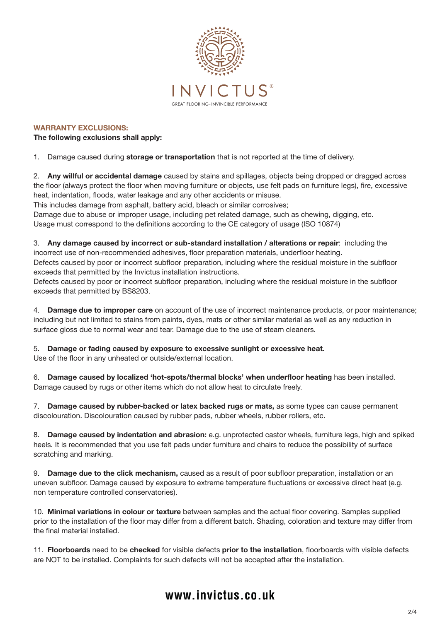

WARRANTY EXCLUSIONS:

The following exclusions shall apply:

1. Damage caused during storage or transportation that is not reported at the time of delivery.

2. Any willful or accidental damage caused by stains and spillages, objects being dropped or dragged across the floor (always protect the floor when moving furniture or objects, use felt pads on furniture legs), fire, excessive heat, indentation, floods, water leakage and any other accidents or misuse.

This includes damage from asphalt, battery acid, bleach or similar corrosives;

Damage due to abuse or improper usage, including pet related damage, such as chewing, digging, etc.

Usage must correspond to the definitions according to the CE category of usage (ISO 10874)

3. Any damage caused by incorrect or sub-standard installation / alterations or repair: including the incorrect use of non-recommended adhesives, floor preparation materials, underfloor heating. Defects caused by poor or incorrect subfloor preparation, including where the residual moisture in the subfloor exceeds that permitted by the Invictus installation instructions.

Defects caused by poor or incorrect subfloor preparation, including where the residual moisture in the subfloor exceeds that permitted by BS8203.

4. Damage due to improper care on account of the use of incorrect maintenance products, or poor maintenance; including but not limited to stains from paints, dyes, mats or other similar material as well as any reduction in surface gloss due to normal wear and tear. Damage due to the use of steam cleaners.

5. Damage or fading caused by exposure to excessive sunlight or excessive heat.

Use of the floor in any unheated or outside/external location.

6. Damage caused by localized 'hot-spots/thermal blocks' when underfloor heating has been installed. Damage caused by rugs or other items which do not allow heat to circulate freely.

7. Damage caused by rubber-backed or latex backed rugs or mats, as some types can cause permanent discolouration. Discolouration caused by rubber pads, rubber wheels, rubber rollers, etc.

8. Damage caused by indentation and abrasion: e.g. unprotected castor wheels, furniture legs, high and spiked heels. It is recommended that you use felt pads under furniture and chairs to reduce the possibility of surface scratching and marking.

9. Damage due to the click mechanism, caused as a result of poor subfloor preparation, installation or an uneven subfloor. Damage caused by exposure to extreme temperature fluctuations or excessive direct heat (e.g. non temperature controlled conservatories).

10. Minimal variations in colour or texture between samples and the actual floor covering. Samples supplied prior to the installation of the floor may differ from a different batch. Shading, coloration and texture may differ from the final material installed.

11. Floorboards need to be checked for visible defects prior to the installation, floorboards with visible defects are NOT to be installed. Complaints for such defects will not be accepted after the installation.

# **www.invictus.co.uk**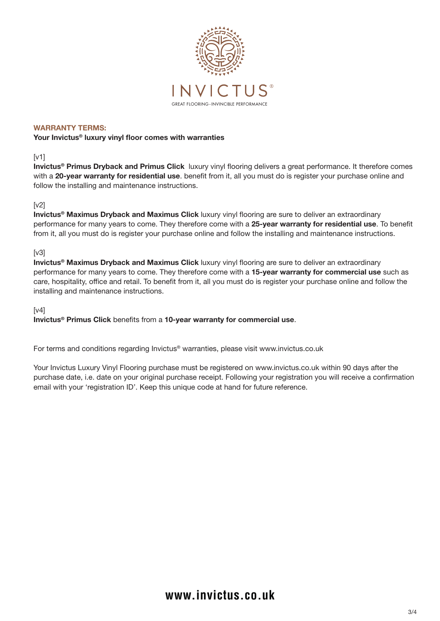

#### WARRANTY TERMS:

### Your Invictus® luxury vinyl floor comes with warranties

# [v1]

Invictus<sup>®</sup> Primus Dryback and Primus Click luxury vinyl flooring delivers a great performance. It therefore comes with a 20-year warranty for residential use. benefit from it, all you must do is register your purchase online and follow the installing and maintenance instructions.

# [v2]

Invictus® Maximus Dryback and Maximus Click luxury vinyl flooring are sure to deliver an extraordinary performance for many years to come. They therefore come with a 25-year warranty for residential use. To benefit from it, all you must do is register your purchase online and follow the installing and maintenance instructions.

### [v3]

Invictus<sup>®</sup> Maximus Dryback and Maximus Click luxury vinyl flooring are sure to deliver an extraordinary performance for many years to come. They therefore come with a 15-year warranty for commercial use such as care, hospitality, office and retail. To benefit from it, all you must do is register your purchase online and follow the installing and maintenance instructions.

### [v4]

Invictus® Primus Click benefits from a 10-year warranty for commercial use.

For terms and conditions regarding Invictus® warranties, please visit www.invictus.co.uk

Your Invictus Luxury Vinyl Flooring purchase must be registered on www.invictus.co.uk within 90 days after the purchase date, i.e. date on your original purchase receipt. Following your registration you will receive a confirmation email with your 'registration ID'. Keep this unique code at hand for future reference.